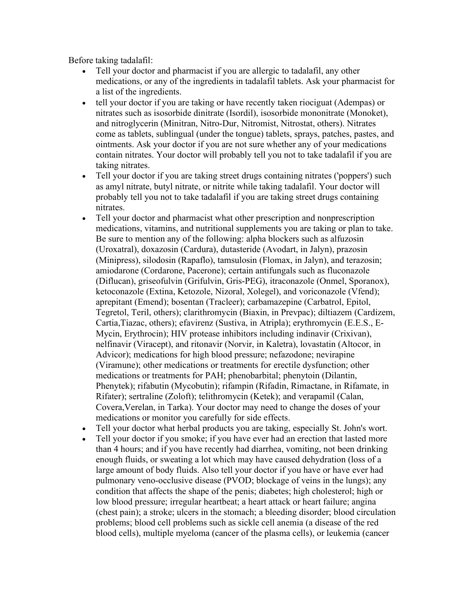Before taking tadalafil:

- Tell your doctor and pharmacist if you are allergic to tadalafil, any other medications, or any of the ingredients in tadalafil tablets. Ask your pharmacist for a list of the ingredients.
- tell your doctor if you are taking or have recently taken riociguat (Adempas) or nitrates such as isosorbide dinitrate (Isordil), isosorbide mononitrate (Monoket), and nitroglycerin (Minitran, Nitro-Dur, Nitromist, Nitrostat, others). Nitrates come as tablets, sublingual (under the tongue) tablets, sprays, patches, pastes, and ointments. Ask your doctor if you are not sure whether any of your medications contain nitrates. Your doctor will probably tell you not to take tadalafil if you are taking nitrates.
- Tell your doctor if you are taking street drugs containing nitrates ('poppers') such as amyl nitrate, butyl nitrate, or nitrite while taking tadalafil. Your doctor will probably tell you not to take tadalafil if you are taking street drugs containing nitrates.
- Tell your doctor and pharmacist what other prescription and nonprescription medications, vitamins, and nutritional supplements you are taking or plan to take. Be sure to mention any of the following: alpha blockers such as alfuzosin (Uroxatral), doxazosin (Cardura), dutasteride (Avodart, in Jalyn), prazosin (Minipress), silodosin (Rapaflo), tamsulosin (Flomax, in Jalyn), and terazosin; amiodarone (Cordarone, Pacerone); certain antifungals such as fluconazole (Diflucan), griseofulvin (Grifulvin, Gris-PEG), itraconazole (Onmel, Sporanox), ketoconazole (Extina, Ketozole, Nizoral, Xolegel), and voriconazole (Vfend); aprepitant (Emend); bosentan (Tracleer); carbamazepine (Carbatrol, Epitol, Tegretol, Teril, others); clarithromycin (Biaxin, in Prevpac); diltiazem (Cardizem, Cartia,Tiazac, others); efavirenz (Sustiva, in Atripla); erythromycin (E.E.S., E-Mycin, Erythrocin); HIV protease inhibitors including indinavir (Crixivan), nelfinavir (Viracept), and ritonavir (Norvir, in Kaletra), lovastatin (Altocor, in Advicor); medications for high blood pressure; nefazodone; nevirapine (Viramune); other medications or treatments for erectile dysfunction; other medications or treatments for PAH; phenobarbital; phenytoin (Dilantin, Phenytek); rifabutin (Mycobutin); rifampin (Rifadin, Rimactane, in Rifamate, in Rifater); sertraline (Zoloft); telithromycin (Ketek); and verapamil (Calan, Covera,Verelan, in Tarka). Your doctor may need to change the doses of your medications or monitor you carefully for side effects.
- Tell your doctor what herbal products you are taking, especially St. John's wort.
- Tell your doctor if you smoke; if you have ever had an erection that lasted more than 4 hours; and if you have recently had diarrhea, vomiting, not been drinking enough fluids, or sweating a lot which may have caused dehydration (loss of a large amount of body fluids. Also tell your doctor if you have or have ever had pulmonary veno-occlusive disease (PVOD; blockage of veins in the lungs); any condition that affects the shape of the penis; diabetes; high cholesterol; high or low blood pressure; irregular heartbeat; a heart attack or heart failure; angina (chest pain); a stroke; ulcers in the stomach; a bleeding disorder; blood circulation problems; blood cell problems such as sickle cell anemia (a disease of the red blood cells), multiple myeloma (cancer of the plasma cells), or leukemia (cancer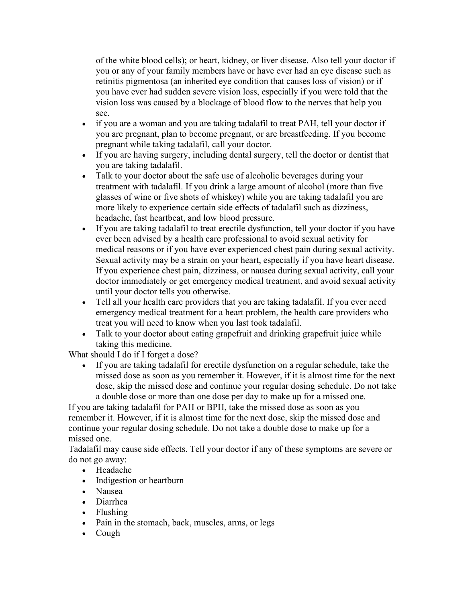of the white blood cells); or heart, kidney, or liver disease. Also tell your doctor if you or any of your family members have or have ever had an eye disease such as retinitis pigmentosa (an inherited eye condition that causes loss of vision) or if you have ever had sudden severe vision loss, especially if you were told that the vision loss was caused by a blockage of blood flow to the nerves that help you see.

- if you are a woman and you are taking tadalafil to treat PAH, tell your doctor if you are pregnant, plan to become pregnant, or are breastfeeding. If you become pregnant while taking tadalafil, call your doctor.
- If you are having surgery, including dental surgery, tell the doctor or dentist that you are taking tadalafil.
- Talk to your doctor about the safe use of alcoholic beverages during your treatment with tadalafil. If you drink a large amount of alcohol (more than five glasses of wine or five shots of whiskey) while you are taking tadalafil you are more likely to experience certain side effects of tadalafil such as dizziness, headache, fast heartbeat, and low blood pressure.
- If you are taking tadalafil to treat erectile dysfunction, tell your doctor if you have ever been advised by a health care professional to avoid sexual activity for medical reasons or if you have ever experienced chest pain during sexual activity. Sexual activity may be a strain on your heart, especially if you have heart disease. If you experience chest pain, dizziness, or nausea during sexual activity, call your doctor immediately or get emergency medical treatment, and avoid sexual activity until your doctor tells you otherwise.
- Tell all your health care providers that you are taking tadalafil. If you ever need emergency medical treatment for a heart problem, the health care providers who treat you will need to know when you last took tadalafil.
- Talk to your doctor about eating grapefruit and drinking grapefruit juice while taking this medicine.

What should I do if I forget a dose?

 If you are taking tadalafil for erectile dysfunction on a regular schedule, take the missed dose as soon as you remember it. However, if it is almost time for the next dose, skip the missed dose and continue your regular dosing schedule. Do not take a double dose or more than one dose per day to make up for a missed one.

If you are taking tadalafil for PAH or BPH, take the missed dose as soon as you remember it. However, if it is almost time for the next dose, skip the missed dose and continue your regular dosing schedule. Do not take a double dose to make up for a missed one.

Tadalafil may cause side effects. Tell your doctor if any of these symptoms are severe or do not go away:

- Headache
- Indigestion or heartburn
- Nausea
- Diarrhea
- Flushing
- Pain in the stomach, back, muscles, arms, or legs
- Cough